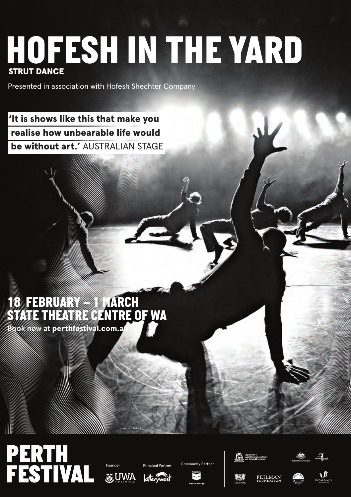## STRUT DANCE *HOFESH IN THE YARD*

Presented in association with Hofesh Shechter Company

'It is shows like this that make you 'It is shows like this that make you realise how unbearable life would realise how unbearable life would be without art.' AUSTRALIAN STAGE

### *18 FEBRUARY – 1 MARCH STATE THEATRE CENTRE OF WA*

Book now at perthfestival.com.au

## *PERTH*  **FESTIVAL Examples Examples Community Partner**

Image: Ben Ruddick









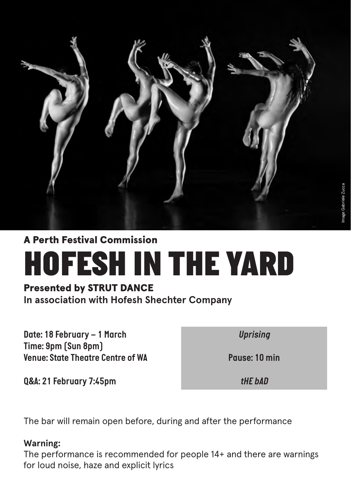

#### A Perth Festival Commission

## *HOFESH IN THE YARD*

#### Presented by STRUT DANCE

**In association with Hofesh Shechter Company**

*Date: 18 February – 1 March Time: 9pm (Sun 8pm) Venue: State Theatre Centre of WA*  *Uprising*

*Pause: 10 min* 

*Q&A: 21 February 7:45pm*

*tHE bAD*

The bar will remain open before, during and after the performance

#### **Warning:**

The performance is recommended for people 14+ and there are warnings for loud noise, haze and explicit lyrics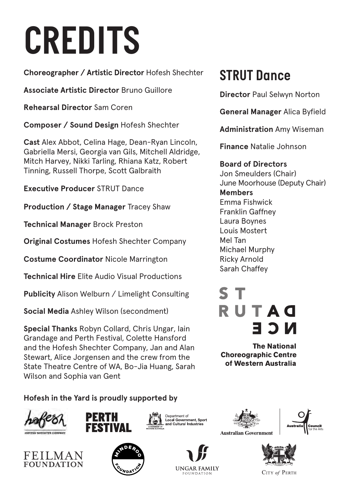# *CREDITS*

**Choreographer / Artistic Director** Hofesh Shechter

**Associate Artistic Director** Bruno Guillore

**Rehearsal Director** Sam Coren

**Composer / Sound Design** Hofesh Shechter

**Cast** Alex Abbot, Celina Hage, Dean-Ryan Lincoln, Gabriella Mersi, Georgia van Gils, Mitchell Aldridge, Mitch Harvey, Nikki Tarling, Rhiana Katz, Robert Tinning, Russell Thorpe, Scott Galbraith

**Executive Producer** STRUT Dance

**Production / Stage Manager** Tracey Shaw

**Technical Manager** Brock Preston

**Original Costumes** Hofesh Shechter Company

**Costume Coordinator** Nicole Marrington

**Technical Hire** Elite Audio Visual Productions

**Publicity** Alison Welburn / Limelight Consulting

**Social Media** Ashley Wilson (secondment)

**Special Thanks** Robyn Collard, Chris Ungar, Iain Grandage and Perth Festival, Colette Hansford and the Hofesh Shechter Company, Jan and Alan Stewart, Alice Jorgensen and the crew from the State Theatre Centre of WA, Bo-Jia Huang, Sarah Wilson and Sophia van Gent

**Hofesh in the Yard is proudly supported by**









**UNGAR FAMILY** 





CITY of PERTH

#### *STRUT Dance*

**Director** Paul Selwyn Norton

**General Manager** Alica Byfield

**Administration** Amy Wiseman

**Finance** Natalie Johnson

#### **Board of Directors**

Jon Smeulders (Chair) June Moorhouse (Deputy Chair) **Members** Emma Fishwick Franklin Gaffney Laura Boynes Louis Mostert Mel Tan Michael Murphy Ricky Arnold Sarah Chaffey

## RUTAO E 3 N

**The National Choreographic Centre** of Western Australia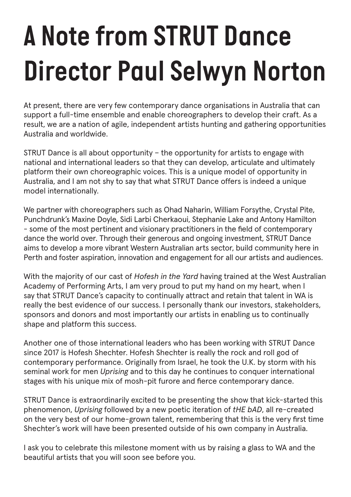## *A Note from STRUT Dance Director Paul Selwyn Norton*

At present, there are very few contemporary dance organisations in Australia that can support a full-time ensemble and enable choreographers to develop their craft. As a result, we are a nation of agile, independent artists hunting and gathering opportunities Australia and worldwide.

STRUT Dance is all about opportunity – the opportunity for artists to engage with national and international leaders so that they can develop, articulate and ultimately platform their own choreographic voices. This is a unique model of opportunity in Australia, and I am not shy to say that what STRUT Dance offers is indeed a unique model internationally.

We partner with choreographers such as Ohad Naharin, William Forsythe, Crystal Pite, Punchdrunk's Maxine Doyle, Sidi Larbi Cherkaoui, Stephanie Lake and Antony Hamilton - some of the most pertinent and visionary practitioners in the field of contemporary dance the world over. Through their generous and ongoing investment, STRUT Dance aims to develop a more vibrant Western Australian arts sector, build community here in Perth and foster aspiration, innovation and engagement for all our artists and audiences.

With the majority of our cast of *Hofesh in the Yard* having trained at the West Australian Academy of Performing Arts, I am very proud to put my hand on my heart, when I say that STRUT Dance's capacity to continually attract and retain that talent in WA is really the best evidence of our success. I personally thank our investors, stakeholders, sponsors and donors and most importantly our artists in enabling us to continually shape and platform this success.

Another one of those international leaders who has been working with STRUT Dance since 2017 is Hofesh Shechter. Hofesh Shechter is really the rock and roll god of contemporary performance. Originally from Israel, he took the U.K. by storm with his seminal work for men *Uprising* and to this day he continues to conquer international stages with his unique mix of mosh-pit furore and fierce contemporary dance.

STRUT Dance is extraordinarily excited to be presenting the show that kick-started this phenomenon, *Uprising* followed by a new poetic iteration of *tHE bAD*, all re-created on the very best of our home-grown talent, remembering that this is the very first time Shechter's work will have been presented outside of his own company in Australia.

I ask you to celebrate this milestone moment with us by raising a glass to WA and the beautiful artists that you will soon see before you.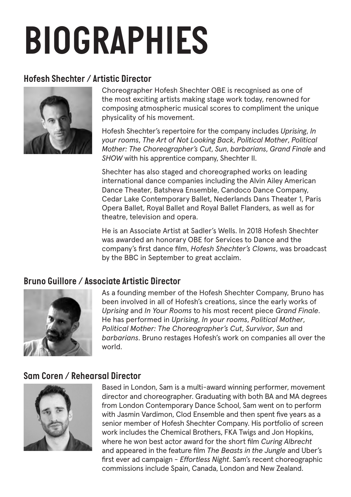# *BIOGRAPHIES*

#### *Hofesh Shechter / Artistic Director*



Choreographer Hofesh Shechter OBE is recognised as one of the most exciting artists making stage work today, renowned for composing atmospheric musical scores to compliment the unique physicality of his movement.

Hofesh Shechter's repertoire for the company includes *Uprising*, *In your rooms*, *The Art of Not Looking Back*, *Political Mother*, *Political Mother: The Choreographer's Cut*, *Sun*, *barbarians*, *Grand Finale* and *SHOW* with his apprentice company, Shechter II.

Shechter has also staged and choreographed works on leading international dance companies including the Alvin Ailey American Dance Theater, Batsheva Ensemble, Candoco Dance Company, Cedar Lake Contemporary Ballet, Nederlands Dans Theater 1, Paris Opera Ballet, Royal Ballet and Royal Ballet Flanders, as well as for theatre, television and opera.

He is an Associate Artist at Sadler's Wells. In 2018 Hofesh Shechter was awarded an honorary OBE for Services to Dance and the company's first dance film, *Hofesh Shechter's Clowns*, was broadcast by the BBC in September to great acclaim.

#### *Bruno Guillore / Associate Artistic Director*



As a founding member of the Hofesh Shechter Company, Bruno has been involved in all of Hofesh's creations, since the early works of *Uprising* and *In Your Rooms* to his most recent piece *Grand Finale*. He has performed in *Uprising*, *In your rooms*, *Political Mother*, *Political Mother: The Choreographer's Cut*, *Survivor*, *Sun* and *barbarians*. Bruno restages Hofesh's work on companies all over the world.

#### *Sam Coren / Rehearsal Director*



Based in London, Sam is a multi-award winning performer, movement director and choreographer. Graduating with both BA and MA degrees from London Contemporary Dance School, Sam went on to perform with Jasmin Vardimon, Clod Ensemble and then spent five years as a senior member of Hofesh Shechter Company. His portfolio of screen work includes the Chemical Brothers, FKA Twigs and Jon Hopkins, where he won best actor award for the short film *Curing Albrecht* and appeared in the feature film *The Beasts in the Jungle* and Uber's first ever ad campaign - *Effortless Night*. Sam's recent choreographic commissions include Spain, Canada, London and New Zealand.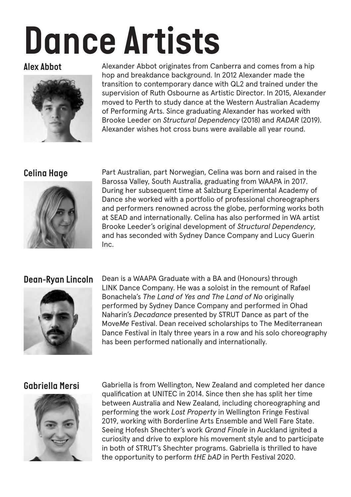# *Dance Artists*

#### *Alex Abbot*



Alexander Abbot originates from Canberra and comes from a hip hop and breakdance background. In 2012 Alexander made the transition to contemporary dance with QL2 and trained under the supervision of Ruth Osbourne as Artistic Director. In 2015, Alexander moved to Perth to study dance at the Western Australian Academy of Performing Arts. Since graduating Alexander has worked with Brooke Leeder on *Structural Dependency* (2018) and *RADAR* (2019). Alexander wishes hot cross buns were available all year round.

#### *Celina Hage*



Part Australian, part Norwegian, Celina was born and raised in the Barossa Valley, South Australia, graduating from WAAPA in 2017. During her subsequent time at Salzburg Experimental Academy of Dance she worked with a portfolio of professional choreographers and performers renowned across the globe, performing works both at SEAD and internationally. Celina has also performed in WA artist Brooke Leeder's original development of *Structural Dependency*, and has seconded with Sydney Dance Company and Lucy Guerin Inc.

#### *Dean-Ryan Lincoln*



Dean is a WAAPA Graduate with a BA and (Honours) through LINK Dance Company. He was a soloist in the remount of Rafael Bonachela's *The Land of Yes and The Land of No* originally performed by Sydney Dance Company and performed in Ohad Naharin's *Decadance* presented by STRUT Dance as part of the Move*Me* Festival. Dean received scholarships to The Mediterranean Dance Festival in Italy three years in a row and his solo choreography has been performed nationally and internationally.

#### *Gabriella Mersi*



Gabriella is from Wellington, New Zealand and completed her dance qualification at UNITEC in 2014. Since then she has split her time between Australia and New Zealand, including choreographing and performing the work *Lost Property* in Wellington Fringe Festival 2019, working with Borderline Arts Ensemble and Well Fare State. Seeing Hofesh Shechter's work *Grand Finale* in Auckland ignited a curiosity and drive to explore his movement style and to participate in both of STRUT's Shechter programs. Gabriella is thrilled to have the opportunity to perform *tHE bAD* in Perth Festival 2020.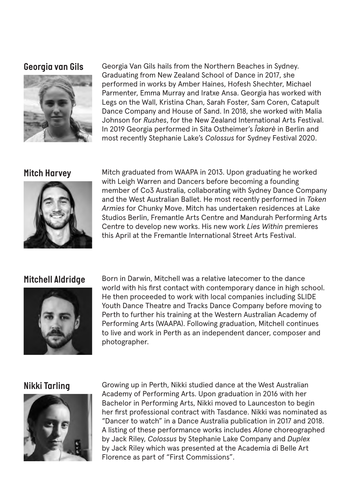#### *Georgia van Gils*



Georgia Van Gils hails from the Northern Beaches in Sydney. Graduating from New Zealand School of Dance in 2017, she performed in works by Amber Haines, Hofesh Shechter, Michael Parmenter, Emma Murray and Iratxe Ansa. Georgia has worked with Legs on the Wall, Kristina Chan, Sarah Foster, Sam Coren, Catapult Dance Company and House of Sand. In 2018, she worked with Malia Johnson for *Rushes*, for the New Zealand International Arts Festival. In 2019 Georgia performed in Sita Ostheimer's *Îakarè* in Berlin and most recently Stephanie Lake's *Colossus* for Sydney Festival 2020.

#### *Mitch Harvey*



Mitch graduated from WAAPA in 2013. Upon graduating he worked with Leigh Warren and Dancers before becoming a founding member of Co3 Australia, collaborating with Sydney Dance Company and the West Australian Ballet. He most recently performed in *Token Armies* for Chunky Move. Mitch has undertaken residences at Lake Studios Berlin, Fremantle Arts Centre and Mandurah Performing Arts Centre to develop new works. His new work *Lies Within* premieres this April at the Fremantle International Street Arts Festival.

#### *Mitchell Aldridge*



Born in Darwin, Mitchell was a relative latecomer to the dance world with his first contact with contemporary dance in high school. He then proceeded to work with local companies including SLIDE Youth Dance Theatre and Tracks Dance Company before moving to Perth to further his training at the Western Australian Academy of Performing Arts (WAAPA). Following graduation, Mitchell continues to live and work in Perth as an independent dancer, composer and photographer.

#### *Nikki Tarling*



Growing up in Perth, Nikki studied dance at the West Australian Academy of Performing Arts. Upon graduation in 2016 with her Bachelor in Performing Arts, Nikki moved to Launceston to begin her first professional contract with Tasdance. Nikki was nominated as "Dancer to watch" in a Dance Australia publication in 2017 and 2018. A listing of these performance works includes *Alone* choreographed by Jack Riley, *Colossus* by Stephanie Lake Company and *Duplex* by Jack Riley which was presented at the Academia di Belle Art Florence as part of "First Commissions".